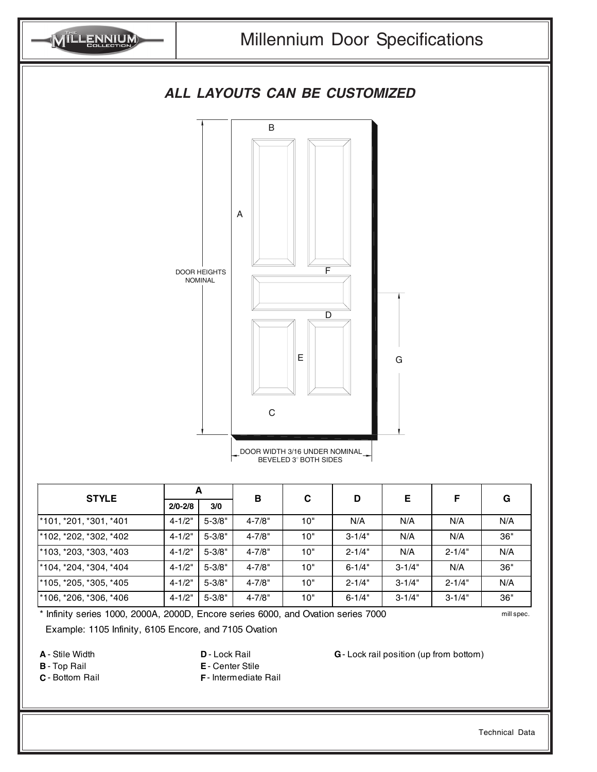

| <b>STYLE</b>                       | A           |            | в          | C   | D          | Е          | F          | G   |
|------------------------------------|-------------|------------|------------|-----|------------|------------|------------|-----|
|                                    | $2/0 - 2/8$ | 3/0        |            |     |            |            |            |     |
| <sup>*</sup> 101, *201, *301, *401 | $4 - 1/2"$  | $5 - 3/8"$ | $4 - 7/8"$ | 10" | N/A        | N/A        | N/A        | N/A |
| <sup>*</sup> 102, *202, *302, *402 | $4 - 1/2"$  | $5 - 3/8"$ | $4 - 7/8"$ | 10" | $3 - 1/4"$ | N/A        | N/A        | 36" |
| <sup>*</sup> 103, *203, *303, *403 | $4 - 1/2"$  | $5 - 3/8"$ | $4 - 7/8"$ | 10" | $2 - 1/4"$ | N/A        | $2 - 1/4"$ | N/A |
| <sup>*</sup> 104, *204, *304, *404 | $4 - 1/2"$  | $5 - 3/8"$ | $4 - 7/8"$ | 10" | $6 - 1/4"$ | $3 - 1/4"$ | N/A        | 36" |
| <sup>*</sup> 105, *205, *305, *405 | $4 - 1/2"$  | $5 - 3/8"$ | $4 - 7/8"$ | 10" | $2 - 1/4"$ | $3 - 1/4"$ | $2 - 1/4"$ | N/A |
| 106, *206, *306, *406              | $4 - 1/2"$  | $5 - 3/8"$ | $4 - 7/8"$ | 10" | $6 - 1/4"$ | $3 - 1/4"$ | $3 - 1/4"$ | 36" |

\* Infinity series 1000, 2000A, 2000D, Encore series 6000, and Ovation series 7000 mill spec.

Example: 1105 Infinity, 6105 Encore, and 7105 Ovation

- 
- **B** Top Rail **E** Center Stile
- **C** Bottom Rail **F** Intermediate Rail

**A** - Stile Width **D** - Lock Rail **G** - Lock rail position (up from bottom)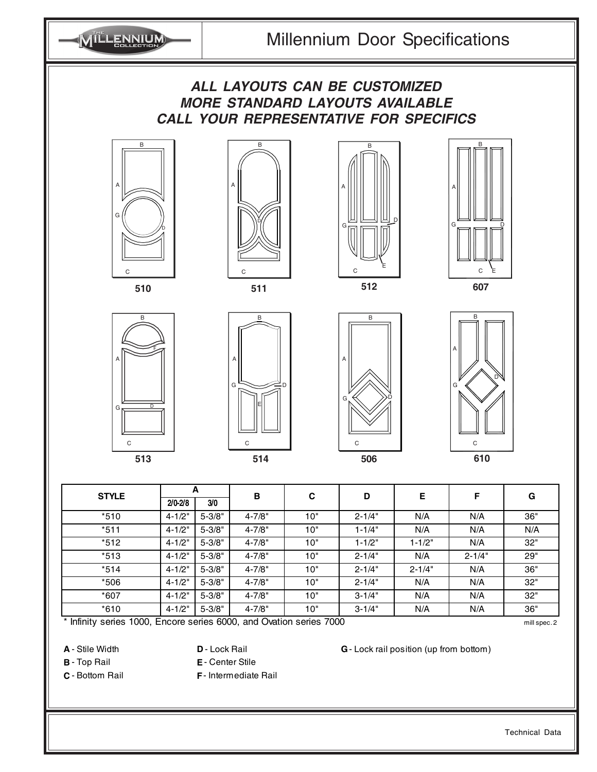





MILLENNIUM





A

G

 $\epsilon$ 

E

B

D









| 3/0        | в          | C   |                                                                             |            | F          | G   |
|------------|------------|-----|-----------------------------------------------------------------------------|------------|------------|-----|
|            |            |     | D                                                                           | Е          |            |     |
| $5 - 3/8"$ | $4 - 7/8"$ | 10" | $2 - 1/4"$                                                                  | N/A        | N/A        | 36" |
| $5 - 3/8"$ | $4 - 7/8"$ | 10" | $1 - 1/4"$                                                                  | N/A        | N/A        | N/A |
| $5 - 3/8"$ | $4 - 7/8"$ | 10" | $1 - 1/2"$                                                                  | $1 - 1/2"$ | N/A        | 32" |
| $5 - 3/8"$ | $4 - 7/8"$ | 10" | $2 - 1/4"$                                                                  | N/A        | $2 - 1/4"$ | 29" |
| $5 - 3/8"$ | $4 - 7/8"$ | 10" | $2 - 1/4"$                                                                  | $2 - 1/4"$ | N/A        | 36" |
| $5 - 3/8"$ | $4 - 7/8"$ | 10" | $2 - 1/4"$                                                                  | N/A        | N/A        | 32" |
| $5 - 3/8"$ | $4 - 7/8"$ | 10" | $3 - 1/4"$                                                                  | N/A        | N/A        | 32" |
| $5 - 3/8"$ | $4 - 7/8"$ | 10" | $3 - 1/4"$                                                                  | N/A        | N/A        | 36" |
|            |            |     | $\star$ lefinity contact 1000. Excess contact COOO and Outline contact 7000 |            |            |     |

Infinity series 1000, Encore series 6000, and Ovation series 7000 mill spec. 2 mill spec. 2

- 
- **B** Top Rail **E** Center Stile

**C** - Bottom Rail **F** - Intermediate Rail

**A** - Stile Width **D** - Lock Rail **G** - Lock rail position (up from bottom)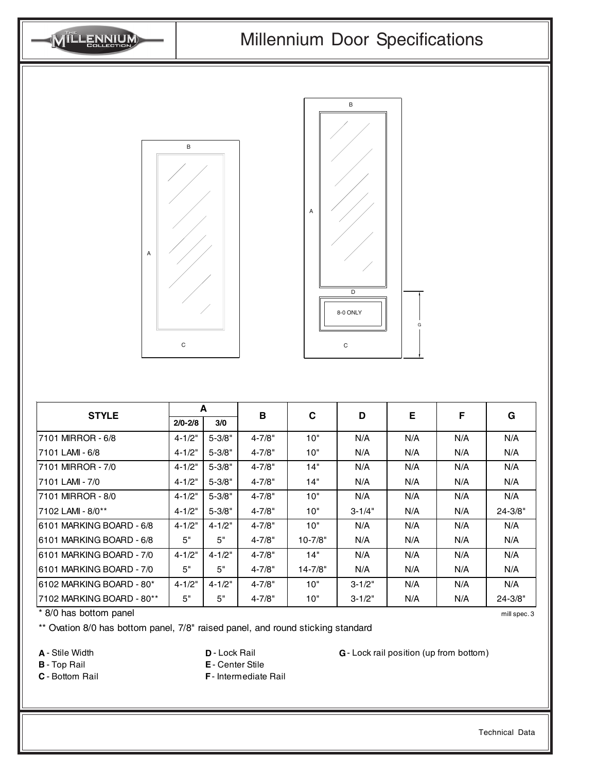

\*\* Ovation 8/0 has bottom panel, 7/8" raised panel, and round sticking standard

- 
- **B** Top Rail **E** Center Stile
- **C** Bottom Rail **F** Intermediate Rail

**A** - Stile Width **D** - Lock Rail **G** - Lock rail position (up from bottom)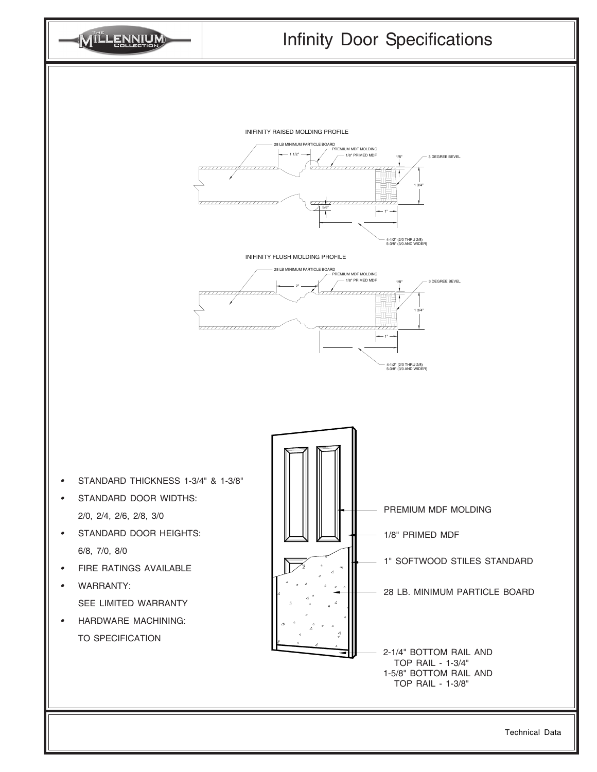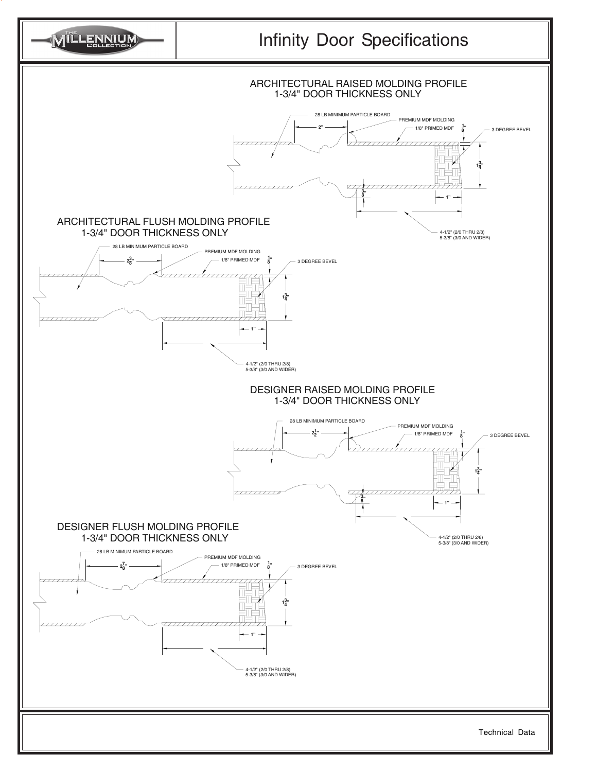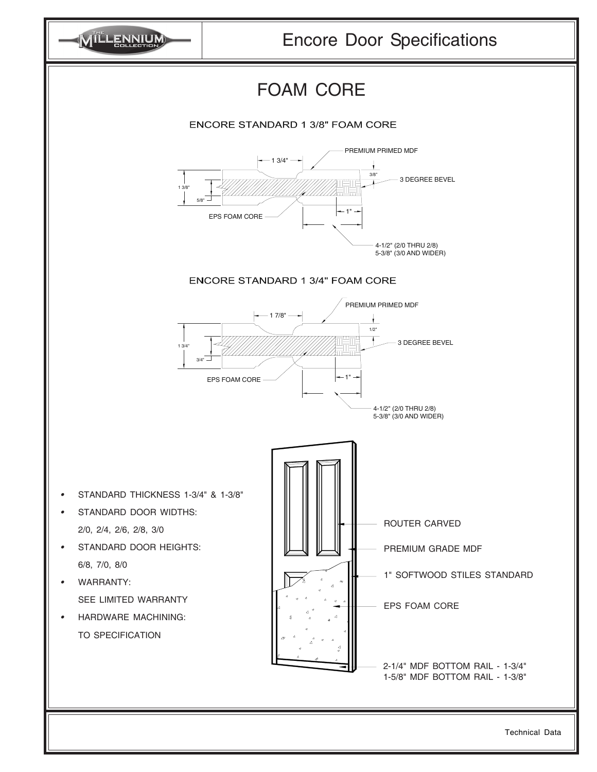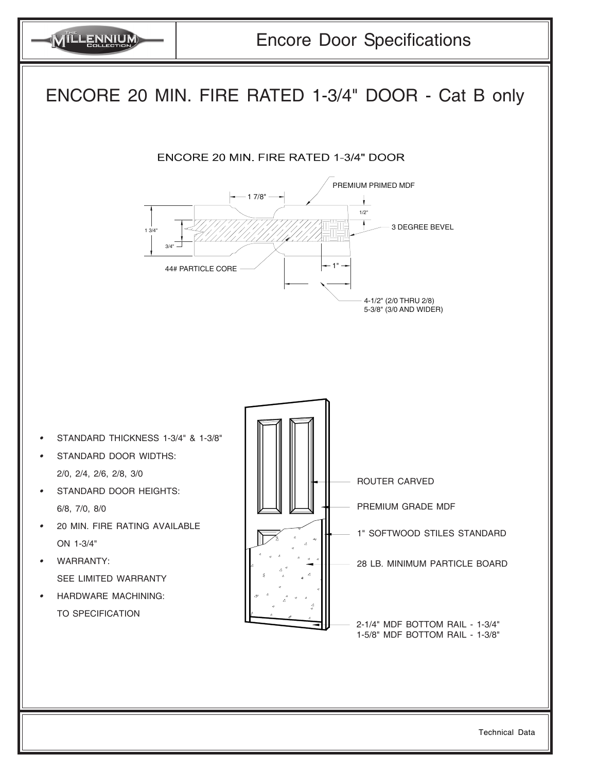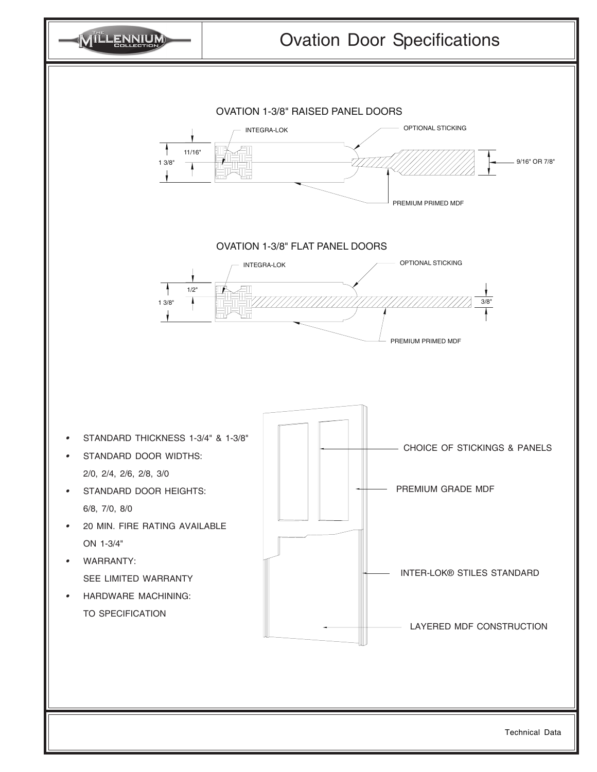